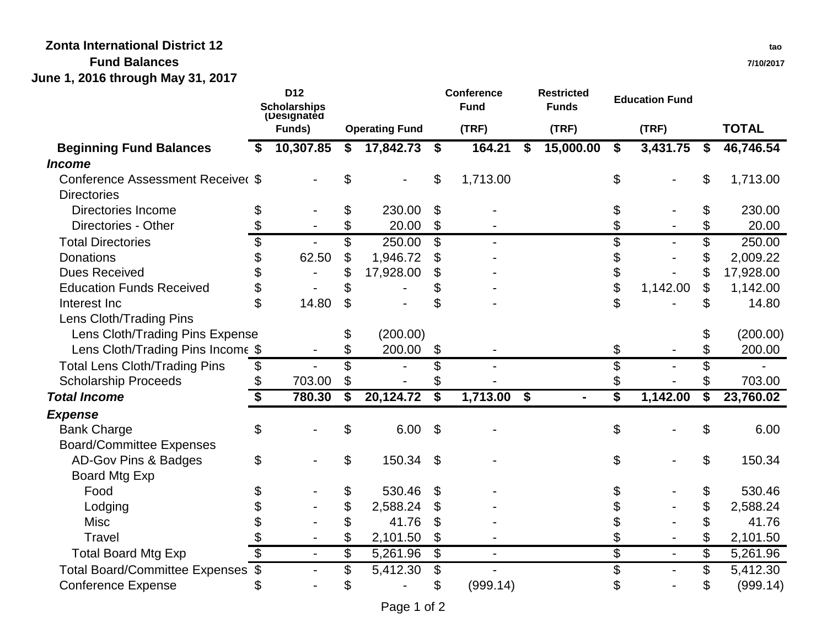## **Zonta International District 12**

## **Fund Balances**

**June 1, 2016 through May 31, 2017**

|                                          |                          | D <sub>12</sub><br><b>Scholarships</b><br>(Designated |                             |                       |                         | <b>Conference</b><br><b>Fund</b> | <b>Restricted</b><br><b>Funds</b> |                                      | <b>Education Fund</b> |                         |              |
|------------------------------------------|--------------------------|-------------------------------------------------------|-----------------------------|-----------------------|-------------------------|----------------------------------|-----------------------------------|--------------------------------------|-----------------------|-------------------------|--------------|
|                                          |                          | Funds)                                                |                             | <b>Operating Fund</b> |                         | (TRF)                            | (TRF)                             |                                      | (TRF)                 |                         | <b>TOTAL</b> |
| <b>Beginning Fund Balances</b>           |                          | 10,307.85                                             | \$                          | 17,842.73             | \$                      | 164.21                           | \$<br>15,000.00                   | \$                                   | 3,431.75              | \$                      | 46,746.54    |
| <b>Income</b>                            |                          |                                                       |                             |                       |                         |                                  |                                   |                                      |                       |                         |              |
| <b>Conference Assessment Receiver \$</b> |                          |                                                       |                             |                       | \$                      | 1,713.00                         |                                   | \$                                   |                       | \$                      | 1,713.00     |
| <b>Directories</b>                       |                          |                                                       |                             |                       |                         |                                  |                                   |                                      |                       |                         |              |
| <b>Directories Income</b>                | \$                       |                                                       | \$                          | 230.00                | \$                      |                                  |                                   | \$                                   |                       | \$                      | 230.00       |
| Directories - Other                      |                          |                                                       | \$                          | 20.00                 | \$                      |                                  |                                   |                                      |                       | \$                      | 20.00        |
| <b>Total Directories</b>                 | $\overline{\mathcal{S}}$ |                                                       | \$                          | 250.00                | \$                      |                                  |                                   | \$                                   |                       | $\overline{\mathbb{S}}$ | 250.00       |
| <b>Donations</b>                         | \$                       | 62.50                                                 | \$                          | 1,946.72              |                         |                                  |                                   | \$                                   |                       | \$                      | 2,009.22     |
| <b>Dues Received</b>                     |                          |                                                       | \$                          | 17,928.00             | \$                      |                                  |                                   | \$                                   |                       | \$                      | 17,928.00    |
| <b>Education Funds Received</b>          | \$                       |                                                       | \$                          |                       | \$                      |                                  |                                   | \$                                   | 1,142.00              | \$                      | 1,142.00     |
| Interest Inc                             | $\mathfrak{P}$           | 14.80                                                 | $\mathfrak{L}$              |                       | \$                      |                                  |                                   | \$                                   |                       | \$                      | 14.80        |
| Lens Cloth/Trading Pins                  |                          |                                                       |                             |                       |                         |                                  |                                   |                                      |                       |                         |              |
| Lens Cloth/Trading Pins Expense          |                          |                                                       | \$                          | (200.00)              |                         |                                  |                                   |                                      |                       |                         | (200.00)     |
| Lens Cloth/Trading Pins Income \$        |                          |                                                       | \$                          | 200.00                | \$                      |                                  |                                   | \$                                   |                       | \$                      | 200.00       |
| <b>Total Lens Cloth/Trading Pins</b>     | \$                       |                                                       | \$                          |                       | \$                      |                                  |                                   | \$                                   |                       | \$                      |              |
| <b>Scholarship Proceeds</b>              |                          | 703.00                                                | \$                          |                       |                         |                                  |                                   |                                      |                       | \$                      | 703.00       |
| <b>Total Income</b>                      | \$                       | 780.30                                                | $\overline{\boldsymbol{s}}$ | 20,124.72             | $\overline{\mathbf{s}}$ | $1,713.00$ \$                    | $\blacksquare$                    | $\overline{\boldsymbol{\mathsf{s}}}$ | 1,142.00              | $\overline{\mathbf{s}}$ | 23,760.02    |
| <b>Expense</b>                           |                          |                                                       |                             |                       |                         |                                  |                                   |                                      |                       |                         |              |
| <b>Bank Charge</b>                       | \$                       |                                                       | \$                          | 6.00                  | $\mathfrak{L}$          |                                  |                                   | \$                                   |                       | \$                      | 6.00         |
| <b>Board/Committee Expenses</b>          |                          |                                                       |                             |                       |                         |                                  |                                   |                                      |                       |                         |              |
| AD-Gov Pins & Badges                     | \$                       |                                                       | \$                          | 150.34                | \$                      |                                  |                                   | \$                                   |                       | \$                      | 150.34       |
| <b>Board Mtg Exp</b>                     |                          |                                                       |                             |                       |                         |                                  |                                   |                                      |                       |                         |              |
| Food                                     |                          |                                                       | \$                          | 530.46                | \$                      |                                  |                                   |                                      |                       | \$                      | 530.46       |
| Lodging                                  |                          |                                                       | \$                          | 2,588.24              | \$                      |                                  |                                   |                                      |                       | \$                      | 2,588.24     |
| <b>Misc</b>                              |                          |                                                       | \$                          | 41.76                 | \$                      |                                  |                                   |                                      |                       | \$                      | 41.76        |
| Travel                                   |                          |                                                       | \$                          | 2,101.50              | \$                      |                                  |                                   |                                      |                       | \$                      | 2,101.50     |
| <b>Total Board Mtg Exp</b>               | \$                       |                                                       | \$                          | 5,261.96              | S)                      |                                  |                                   | $\overline{\$}$                      |                       | \$                      | 5,261.96     |
| Total Board/Committee Expenses \$        |                          |                                                       | \$                          | 5,412.30              | \$                      |                                  |                                   | \$                                   |                       | \$                      | 5,412.30     |
| <b>Conference Expense</b>                |                          |                                                       | \$                          |                       | \$                      | (999.14)                         |                                   | \$                                   |                       | \$                      | (999.14)     |